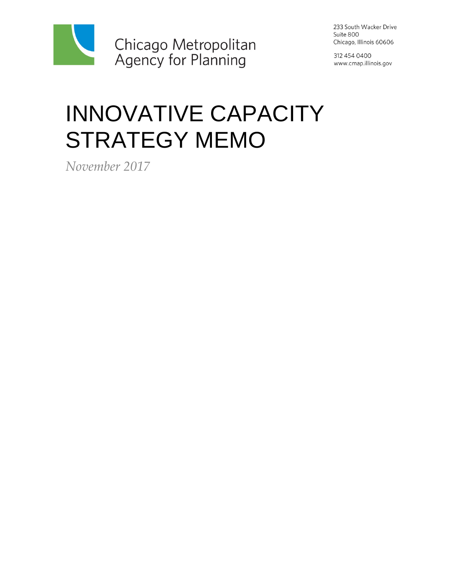

233 South Wacker Drive Suite 800 Chicago, Illinois 60606

312 454 0400 www.cmap.illinois.gov

# INNOVATIVE CAPACITY STRATEGY MEMO

*November 2017*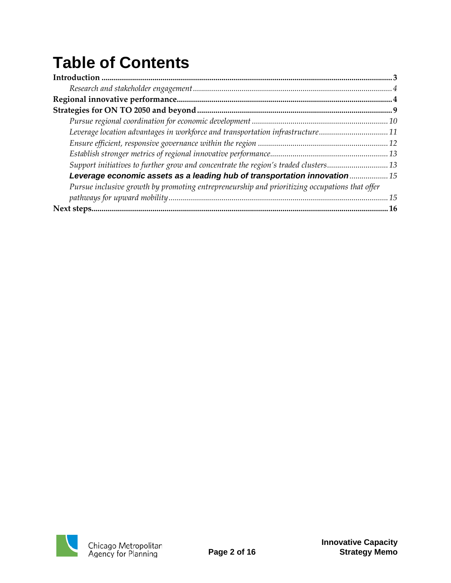# **Table of Contents**

| Leverage location advantages in workforce and transportation infrastructure11                 |    |
|-----------------------------------------------------------------------------------------------|----|
|                                                                                               |    |
|                                                                                               |    |
| Support initiatives to further grow and concentrate the region's traded clusters13            |    |
| Leverage economic assets as a leading hub of transportation innovation 15                     |    |
| Pursue inclusive growth by promoting entrepreneurship and prioritizing occupations that offer |    |
|                                                                                               | 15 |
|                                                                                               | 16 |

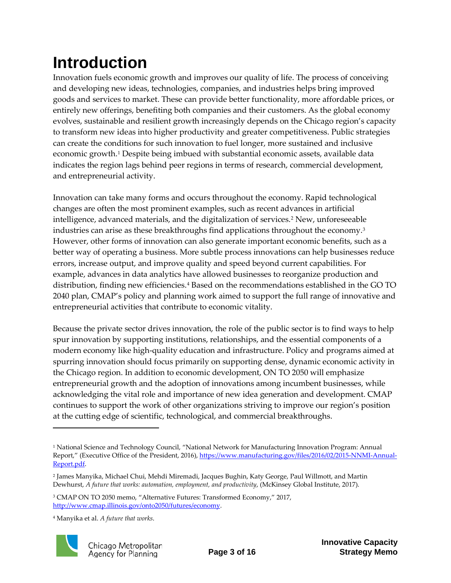## <span id="page-2-0"></span>**Introduction**

Innovation fuels economic growth and improves our quality of life. The process of conceiving and developing new ideas, technologies, companies, and industries helps bring improved goods and services to market. These can provide better functionality, more affordable prices, or entirely new offerings, benefiting both companies and their customers. As the global economy evolves, sustainable and resilient growth increasingly depends on the Chicago region's capacity to transform new ideas into higher productivity and greater competitiveness. Public strategies can create the conditions for such innovation to fuel longer, more sustained and inclusive economic growth.[1](#page-2-1) Despite being imbued with substantial economic assets, available data indicates the region lags behind peer regions in terms of research, commercial development, and entrepreneurial activity.

Innovation can take many forms and occurs throughout the economy. Rapid technological changes are often the most prominent examples, such as recent advances in artificial intelligence, advanced materials, and the digitalization of services.[2](#page-2-2) New, unforeseeable industries can arise as these breakthroughs find applications throughout the economy.[3](#page-2-3) However, other forms of innovation can also generate important economic benefits, such as a better way of operating a business. More subtle process innovations can help businesses reduce errors, increase output, and improve quality and speed beyond current capabilities. For example, advances in data analytics have allowed businesses to reorganize production and distribution, finding new efficiencies.<sup>[4](#page-2-4)</sup> Based on the recommendations established in the GO TO 2040 plan, CMAP's policy and planning work aimed to support the full range of innovative and entrepreneurial activities that contribute to economic vitality.

Because the private sector drives innovation, the role of the public sector is to find ways to help spur innovation by supporting institutions, relationships, and the essential components of a modern economy like high-quality education and infrastructure. Policy and programs aimed at spurring innovation should focus primarily on supporting dense, dynamic economic activity in the Chicago region. In addition to economic development, ON TO 2050 will emphasize entrepreneurial growth and the adoption of innovations among incumbent businesses, while acknowledging the vital role and importance of new idea generation and development. CMAP continues to support the work of other organizations striving to improve our region's position at the cutting edge of scientific, technological, and commercial breakthroughs.

<span id="page-2-4"></span><sup>4</sup> Manyika et al. *A future that works*.



<span id="page-2-1"></span><sup>&</sup>lt;sup>1</sup> National Science and Technology Council, "National Network for Manufacturing Innovation Program: Annual Report," (Executive Office of the President, 2016), [https://www.manufacturing.gov/files/2016/02/2015-NNMI-Annual-](https://www.manufacturing.gov/files/2016/02/2015-NNMI-Annual-Report.pdf)[Report.pdf.](https://www.manufacturing.gov/files/2016/02/2015-NNMI-Annual-Report.pdf) 

<span id="page-2-2"></span><sup>2</sup> James Manyika, Michael Chui, Mehdi Miremadi, Jacques Bughin, Katy George, Paul Willmott, and Martin Dewhurst, *A future that works: automation, employment, and productivity*, (McKinsey Global Institute, 2017).

<span id="page-2-3"></span><sup>3</sup> CMAP ON TO 2050 memo, "Alternative Futures: Transformed Economy," 2017, [http://www.cmap.illinois.gov/onto2050/futures/economy.](http://www.cmap.illinois.gov/onto2050/futures/economy)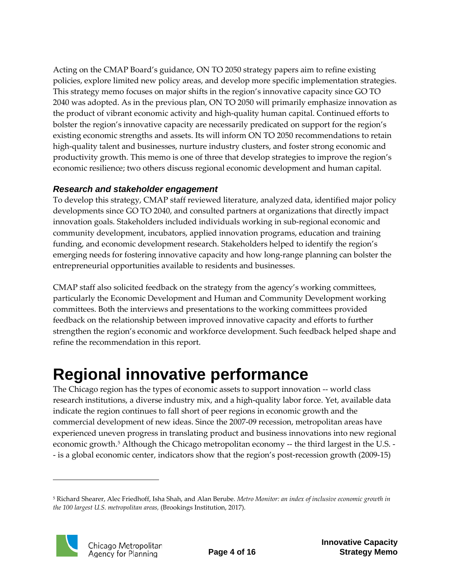Acting on the CMAP Board's guidance, ON TO 2050 strategy papers aim to refine existing policies, explore limited new policy areas, and develop more specific implementation strategies. This strategy memo focuses on major shifts in the region's innovative capacity since GO TO 2040 was adopted. As in the previous plan, ON TO 2050 will primarily emphasize innovation as the product of vibrant economic activity and high-quality human capital. Continued efforts to bolster the region's innovative capacity are necessarily predicated on support for the region's existing economic strengths and assets. Its will inform ON TO 2050 recommendations to retain high-quality talent and businesses, nurture industry clusters, and foster strong economic and productivity growth. This memo is one of three that develop strategies to improve the region's economic resilience; two others discuss regional economic development and human capital.

#### <span id="page-3-0"></span>*Research and stakeholder engagement*

To develop this strategy, CMAP staff reviewed literature, analyzed data, identified major policy developments since GO TO 2040, and consulted partners at organizations that directly impact innovation goals. Stakeholders included individuals working in sub-regional economic and community development, incubators, applied innovation programs, education and training funding, and economic development research. Stakeholders helped to identify the region's emerging needs for fostering innovative capacity and how long-range planning can bolster the entrepreneurial opportunities available to residents and businesses.

CMAP staff also solicited feedback on the strategy from the agency's working committees, particularly the Economic Development and Human and Community Development working committees. Both the interviews and presentations to the working committees provided feedback on the relationship between improved innovative capacity and efforts to further strengthen the region's economic and workforce development. Such feedback helped shape and refine the recommendation in this report.

### <span id="page-3-1"></span>**Regional innovative performance**

The Chicago region has the types of economic assets to support innovation -- world class research institutions, a diverse industry mix, and a high-quality labor force. Yet, available data indicate the region continues to fall short of peer regions in economic growth and the commercial development of new ideas. Since the 2007-09 recession, metropolitan areas have experienced uneven progress in translating product and business innovations into new regional economic growth.<sup>[5](#page-3-2)</sup> Although the Chicago metropolitan economy -- the third largest in the U.S. -- is a global economic center, indicators show that the region's post-recession growth (2009-15)

<span id="page-3-2"></span><sup>5</sup> Richard Shearer, Alec Friedhoff, Isha Shah, and Alan Berube. *Metro Monitor: an index of inclusive economic growth in the 100 largest U.S. metropolitan areas,* (Brookings Institution, 2017).

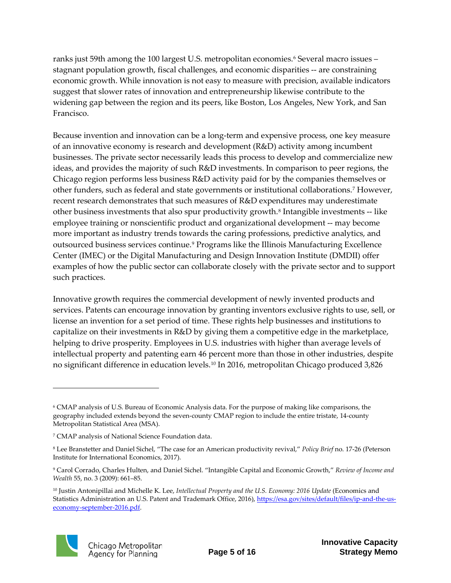ranks just 59th among the 100 largest U.S. metropolitan economies.<sup>6</sup> Several macro issues – stagnant population growth, fiscal challenges, and economic disparities -- are constraining economic growth. While innovation is not easy to measure with precision, available indicators suggest that slower rates of innovation and entrepreneurship likewise contribute to the widening gap between the region and its peers, like Boston, Los Angeles, New York, and San Francisco.

Because invention and innovation can be a long-term and expensive process, one key measure of an innovative economy is research and development (R&D) activity among incumbent businesses. The private sector necessarily leads this process to develop and commercialize new ideas, and provides the majority of such R&D investments. In comparison to peer regions, the Chicago region performs less business R&D activity paid for by the companies themselves or other funders, such as federal and state governments or institutional collaborations.[7](#page-4-1) However, recent research demonstrates that such measures of R&D expenditures may underestimate other business investments that also spur productivity growth.<sup>[8](#page-4-2)</sup> Intangible investments -- like employee training or nonscientific product and organizational development -- may become more important as industry trends towards the caring professions, predictive analytics, and outsourced business services continue.[9](#page-4-3) Programs like the Illinois Manufacturing Excellence Center (IMEC) or the Digital Manufacturing and Design Innovation Institute (DMDII) offer examples of how the public sector can collaborate closely with the private sector and to support such practices.

Innovative growth requires the commercial development of newly invented products and services. Patents can encourage innovation by granting inventors exclusive rights to use, sell, or license an invention for a set period of time. These rights help businesses and institutions to capitalize on their investments in R&D by giving them a competitive edge in the marketplace, helping to drive prosperity. Employees in U.S. industries with higher than average levels of intellectual property and patenting earn 46 percent more than those in other industries, despite no significant difference in education levels.[10](#page-4-4) In 2016, metropolitan Chicago produced 3,826

<span id="page-4-4"></span><sup>10</sup> Justin Antonipillai and Michelle K. Lee, *Intellectual Property and the U.S. Economy: 2016 Update* (Economics and Statistics Administration an U.S. Patent and Trademark Office, 2016), [https://esa.gov/sites/default/files/ip-and-the-us](https://esa.gov/sites/default/files/ip-and-the-us-economy-september-2016.pdf)[economy-september-2016.pdf.](https://esa.gov/sites/default/files/ip-and-the-us-economy-september-2016.pdf)



<span id="page-4-0"></span><sup>6</sup> CMAP analysis of U.S. Bureau of Economic Analysis data. For the purpose of making like comparisons, the geography included extends beyond the seven-county CMAP region to include the entire tristate, 14-county Metropolitan Statistical Area (MSA).

<span id="page-4-1"></span><sup>7</sup> CMAP analysis of National Science Foundation data.

<span id="page-4-2"></span><sup>8</sup> Lee Branstetter and Daniel Sichel, "The case for an American productivity revival," *Policy Brief* no. 17-26 (Peterson Institute for International Economics, 2017).

<span id="page-4-3"></span><sup>9</sup> Carol Corrado, Charles Hulten, and Daniel Sichel. "Intangible Capital and Economic Growth," *Review of Income and Wealth* 55, no. 3 (2009): 661–85.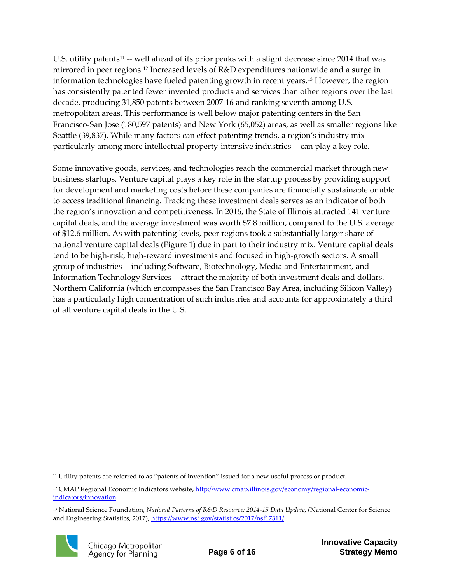U.S. utility patents<sup>[11](#page-5-0)</sup> -- well ahead of its prior peaks with a slight decrease since 2014 that was mirrored in peer regions.[12](#page-5-1) Increased levels of R&D expenditures nationwide and a surge in information technologies have fueled patenting growth in recent years.[13](#page-5-2) However, the region has consistently patented fewer invented products and services than other regions over the last decade, producing 31,850 patents between 2007-16 and ranking seventh among U.S. metropolitan areas. This performance is well below major patenting centers in the San Francisco-San Jose (180,597 patents) and New York (65,052) areas, as well as smaller regions like Seattle (39,837). While many factors can effect patenting trends, a region's industry mix - particularly among more intellectual property-intensive industries -- can play a key role.

Some innovative goods, services, and technologies reach the commercial market through new business startups. Venture capital plays a key role in the startup process by providing support for development and marketing costs before these companies are financially sustainable or able to access traditional financing. Tracking these investment deals serves as an indicator of both the region's innovation and competitiveness. In 2016, the State of Illinois attracted 141 venture capital deals, and the average investment was worth \$7.8 million, compared to the U.S. average of \$12.6 million. As with patenting levels, peer regions took a substantially larger share of national venture capital deals (Figure 1) due in part to their industry mix. Venture capital deals tend to be high-risk, high-reward investments and focused in high-growth sectors. A small group of industries -- including Software, Biotechnology, Media and Entertainment, and Information Technology Services -- attract the majority of both investment deals and dollars. Northern California (which encompasses the San Francisco Bay Area, including Silicon Valley) has a particularly high concentration of such industries and accounts for approximately a third of all venture capital deals in the U.S.

<span id="page-5-2"></span><sup>13</sup> National Science Foundation, *National Patterns of R&D Resource: 2014-15 Data Update*, (National Center for Science and Engineering Statistics, 2017)[, https://www.nsf.gov/statistics/2017/nsf17311/.](https://www.nsf.gov/statistics/2017/nsf17311/)



<span id="page-5-0"></span><sup>11</sup> Utility patents are referred to as "patents of invention" issued for a new useful process or product.

<span id="page-5-1"></span><sup>&</sup>lt;sup>12</sup> CMAP Regional Economic Indicators website[, http://www.cmap.illinois.gov/economy/regional-economic](http://www.cmap.illinois.gov/economy/regional-economic-indicators/innovation)[indicators/innovation.](http://www.cmap.illinois.gov/economy/regional-economic-indicators/innovation)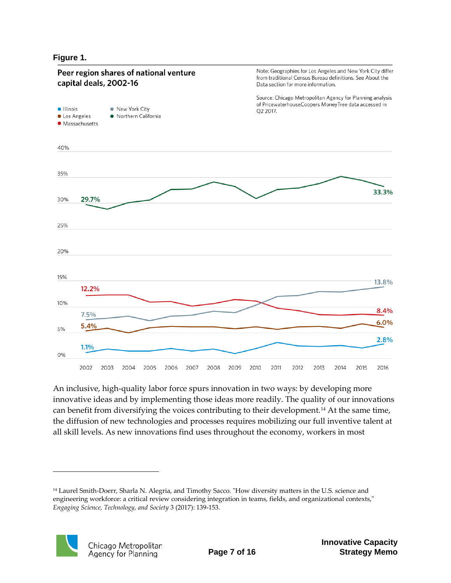#### **Figure 1.**



An inclusive, high-quality labor force spurs innovation in two ways: by developing more innovative ideas and by implementing those ideas more readily. The quality of our innovations can benefit from diversifying the voices contributing to their development.[14](#page-6-0) At the same time, the diffusion of new technologies and processes requires mobilizing our full inventive talent at all skill levels. As new innovations find uses throughout the economy, workers in most

<span id="page-6-0"></span><sup>14</sup> Laurel Smith-Doerr, Sharla N. Alegria, and Timothy Sacco. "How diversity matters in the U.S. science and engineering workforce: a critical review considering integration in teams, fields, and organizational contexts," *Engaging Science, Technology, and Society* 3 (2017): 139-153.

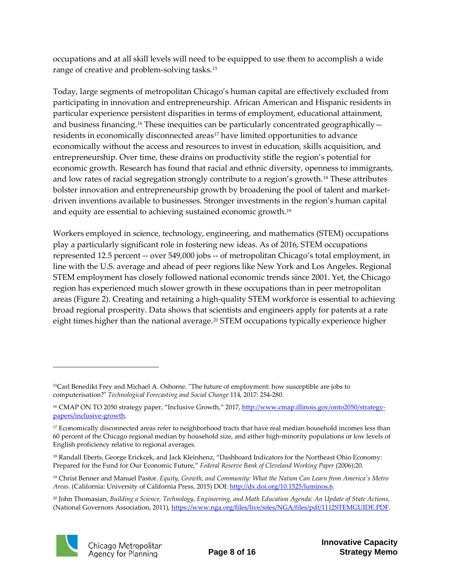occupations and at all skill levels will need to be equipped to use them to accomplish a wide range of creative and problem-solving tasks.[15](#page-7-0)

Today, large segments of metropolitan Chicago's human capital are effectively excluded from participating in innovation and entrepreneurship. African American and Hispanic residents in particular experience persistent disparities in terms of employment, educational attainment, and business financing.<sup>[16](#page-7-1)</sup> These inequities can be particularly concentrated geographically -residents in economically disconnected areas<sup>[17](#page-7-2)</sup> have limited opportunities to advance economically without the access and resources to invest in education, skills acquisition, and entrepreneurship. Over time, these drains on productivity stifle the region's potential for economic growth. Research has found that racial and ethnic diversity, openness to immigrants, and low rates of racial segregation strongly contribute to a region's growth.[18](#page-7-3) These attributes bolster innovation and entrepreneurship growth by broadening the pool of talent and marketdriven inventions available to businesses. Stronger investments in the region's human capital and equity are essential to achieving sustained economic growth.[19](#page-7-4)

Workers employed in science, technology, engineering, and mathematics (STEM) occupations play a particularly significant role in fostering new ideas. As of 2016, STEM occupations represented 12.5 percent -- over 549,000 jobs -- of metropolitan Chicago's total employment, in line with the U.S. average and ahead of peer regions like New York and Los Angeles. Regional STEM employment has closely followed national economic trends since 2001. Yet, the Chicago region has experienced much slower growth in these occupations than in peer metropolitan areas (Figure 2). Creating and retaining a high-quality STEM workforce is essential to achieving broad regional prosperity. Data shows that scientists and engineers apply for patents at a rate eight times higher than the national average.<sup>[20](#page-7-5)</sup> STEM occupations typically experience higher

<span id="page-7-5"></span><sup>20</sup> John Thomasian, *Building a Science, Technology, Engineering, and Math Education Agenda: An Update of State Actions*, (National Governors Association, 2011), [https://www.nga.org/files/live/sites/NGA/files/pdf/1112STEMGUIDE.PDF.](https://www.nga.org/files/live/sites/NGA/files/pdf/1112STEMGUIDE.PDF)



<span id="page-7-0"></span><sup>15</sup>Carl Benedikt Frey and Michael A. Osborne. "The future of employment: how susceptible are jobs to computerisation?" *Technological Forecasting and Social Change* 114, 2017: 254-280.

<span id="page-7-1"></span><sup>&</sup>lt;sup>16</sup> CMAP ON TO 2050 strategy paper, "Inclusive Growth," 2017[, http://www.cmap.illinois.gov/onto2050/strategy](http://www.cmap.illinois.gov/onto2050/strategy-papers/inclusive-growth)[papers/inclusive-growth.](http://www.cmap.illinois.gov/onto2050/strategy-papers/inclusive-growth)

<span id="page-7-2"></span><sup>&</sup>lt;sup>17</sup> Economically disconnected areas refer to neighborhood tracts that have real median household incomes less than 60 percent of the Chicago regional median by household size, and either high-minority populations or low levels of English proficiency relative to regional averages.

<span id="page-7-3"></span><sup>&</sup>lt;sup>18</sup> Randall Eberts, George Erickcek, and Jack Kleinhenz, "Dashboard Indicators for the Northeast Ohio Economy: Prepared for the Fund for Our Economic Future," *Federal Reserve Bank of Cleveland Working Paper* (2006):20.

<span id="page-7-4"></span><sup>19</sup> Christ Benner and Manuel Pastor. *Equity, Growth, and Community: What the Nation Can Learn from America's Metro Areas*. (California: University of California Press, 2015) DOI: [http://dx.doi.org/10.1525/luminos.6.](http://dx.doi.org/10.1525/luminos.6)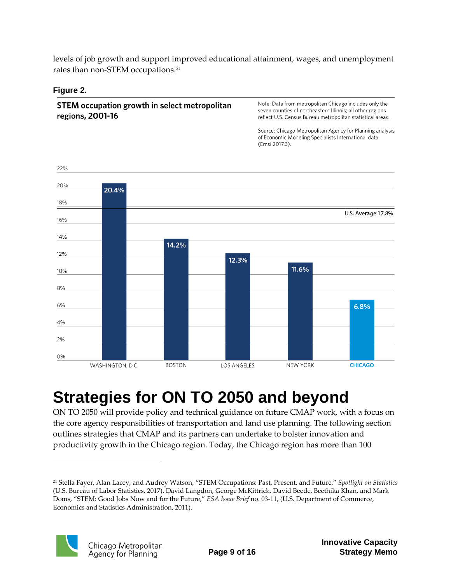levels of job growth and support improved educational attainment, wages, and unemployment rates than non-STEM occupations.[21](#page-8-1)

#### **Figure 2.**

STEM occupation growth in select metropolitan regions, 2001-16

Note: Data from metropolitan Chicago includes only the seven counties of northeastern Illinois; all other regions reflect U.S. Census Bureau metropolitan statistical areas.

Source: Chicago Metropolitan Agency for Planning analysis of Economic Modeling Specialists International data (Emsi 2017.3).



### <span id="page-8-0"></span>**Strategies for ON TO 2050 and beyond**

ON TO 2050 will provide policy and technical guidance on future CMAP work, with a focus on the core agency responsibilities of transportation and land use planning. The following section outlines strategies that CMAP and its partners can undertake to bolster innovation and productivity growth in the Chicago region. Today, the Chicago region has more than 100

<span id="page-8-1"></span><sup>21</sup> Stella Fayer, Alan Lacey, and Audrey Watson, "STEM Occupations: Past, Present, and Future," *Spotlight on Statistics* (U.S. Bureau of Labor Statistics, 2017). David Langdon, George McKittrick, David Beede, Beethika Khan, and Mark Doms, "STEM: Good Jobs Now and for the Future," *ESA Issue Brief* no. 03-11, (U.S. Department of Commerce, Economics and Statistics Administration, 2011).

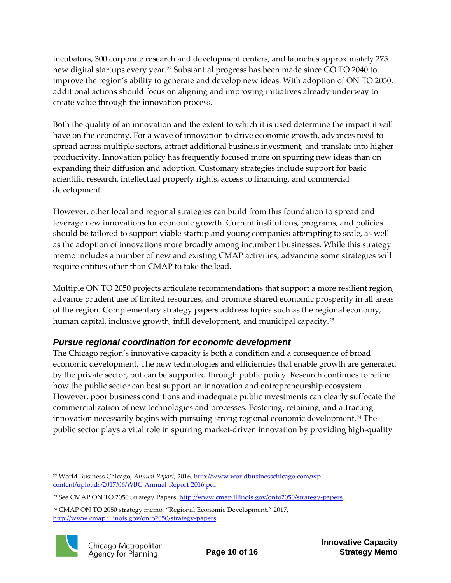incubators, 300 corporate research and development centers, and launches approximately 275 new digital startups every year.[22](#page-9-1) Substantial progress has been made since GO TO 2040 to improve the region's ability to generate and develop new ideas. With adoption of ON TO 2050, additional actions should focus on aligning and improving initiatives already underway to create value through the innovation process.

Both the quality of an innovation and the extent to which it is used determine the impact it will have on the economy. For a wave of innovation to drive economic growth, advances need to spread across multiple sectors, attract additional business investment, and translate into higher productivity. Innovation policy has frequently focused more on spurring new ideas than on expanding their diffusion and adoption. Customary strategies include support for basic scientific research, intellectual property rights, access to financing, and commercial development.

However, other local and regional strategies can build from this foundation to spread and leverage new innovations for economic growth. Current institutions, programs, and policies should be tailored to support viable startup and young companies attempting to scale, as well as the adoption of innovations more broadly among incumbent businesses. While this strategy memo includes a number of new and existing CMAP activities, advancing some strategies will require entities other than CMAP to take the lead.

Multiple ON TO 2050 projects articulate recommendations that support a more resilient region, advance prudent use of limited resources, and promote shared economic prosperity in all areas of the region. Complementary strategy papers address topics such as the regional economy, human capital, inclusive growth, infill development, and municipal capacity.<sup>[23](#page-9-2)</sup>

#### <span id="page-9-0"></span>*Pursue regional coordination for economic development*

The Chicago region's innovative capacity is both a condition and a consequence of broad economic development. The new technologies and efficiencies that enable growth are generated by the private sector, but can be supported through public policy. Research continues to refine how the public sector can best support an innovation and entrepreneurship ecosystem. However, poor business conditions and inadequate public investments can clearly suffocate the commercialization of new technologies and processes. Fostering, retaining, and attracting innovation necessarily begins with pursuing strong regional economic development.[24](#page-9-3) The public sector plays a vital role in spurring market-driven innovation by providing high-quality

<span id="page-9-3"></span><sup>24</sup> CMAP ON TO 2050 strategy memo, "Regional Economic Development," 2017, [http://www.cmap.illinois.gov/onto2050/strategy-papers.](http://www.cmap.illinois.gov/onto2050/strategy-papers)



<span id="page-9-1"></span><sup>22</sup> World Business Chicago, *Annual Report*, 2016[, http://www.worldbusinesschicago.com/wp](http://www.worldbusinesschicago.com/wp-content/uploads/2017/06/WBC-Annual-Report-2016.pdf)[content/uploads/2017/06/WBC-Annual-Report-2016.pdf.](http://www.worldbusinesschicago.com/wp-content/uploads/2017/06/WBC-Annual-Report-2016.pdf)

<span id="page-9-2"></span><sup>&</sup>lt;sup>23</sup> See CMAP ON TO 2050 Strategy Papers[: http://www.cmap.illinois.gov/onto2050/strategy-papers.](http://www.cmap.illinois.gov/onto2050/strategy-papers)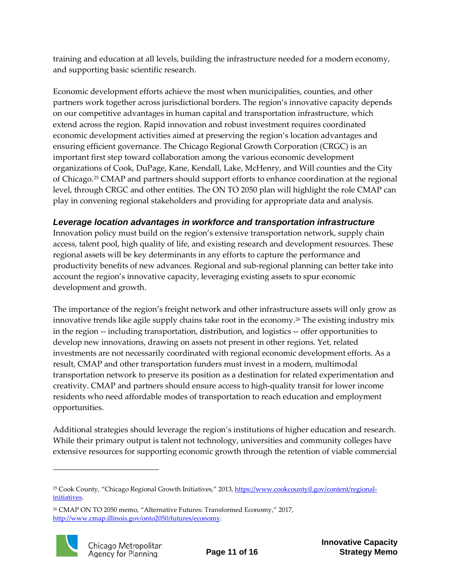training and education at all levels, building the infrastructure needed for a modern economy, and supporting basic scientific research.

Economic development efforts achieve the most when municipalities, counties, and other partners work together across jurisdictional borders. The region's innovative capacity depends on our competitive advantages in human capital and transportation infrastructure, which extend across the region. Rapid innovation and robust investment requires coordinated economic development activities aimed at preserving the region's location advantages and ensuring efficient governance. The Chicago Regional Growth Corporation (CRGC) is an important first step toward collaboration among the various economic development organizations of Cook, DuPage, Kane, Kendall, Lake, McHenry, and Will counties and the City of Chicago.[25](#page-10-1) CMAP and partners should support efforts to enhance coordination at the regional level, through CRGC and other entities. The ON TO 2050 plan will highlight the role CMAP can play in convening regional stakeholders and providing for appropriate data and analysis.

#### <span id="page-10-0"></span>*Leverage location advantages in workforce and transportation infrastructure*

Innovation policy must build on the region's extensive transportation network, supply chain access, talent pool, high quality of life, and existing research and development resources. These regional assets will be key determinants in any efforts to capture the performance and productivity benefits of new advances. Regional and sub-regional planning can better take into account the region's innovative capacity, leveraging existing assets to spur economic development and growth.

The importance of the region's freight network and other infrastructure assets will only grow as innovative trends like agile supply chains take root in the economy[.26](#page-10-2) The existing industry mix in the region -- including transportation, distribution, and logistics -- offer opportunities to develop new innovations, drawing on assets not present in other regions. Yet, related investments are not necessarily coordinated with regional economic development efforts. As a result, CMAP and other transportation funders must invest in a modern, multimodal transportation network to preserve its position as a destination for related experimentation and creativity. CMAP and partners should ensure access to high-quality transit for lower income residents who need affordable modes of transportation to reach education and employment opportunities.

Additional strategies should leverage the region's institutions of higher education and research. While their primary output is talent not technology, universities and community colleges have extensive resources for supporting economic growth through the retention of viable commercial

<span id="page-10-2"></span><sup>26</sup> CMAP ON TO 2050 memo, "Alternative Futures: Transformed Economy," 2017, [http://www.cmap.illinois.gov/onto2050/futures/economy.](http://www.cmap.illinois.gov/onto2050/futures/economy)



l

<span id="page-10-1"></span><sup>&</sup>lt;sup>25</sup> Cook County, "Chicago Regional Growth Initiatives," 2013, [https://www.cookcountyil.gov/content/regional](https://www.cookcountyil.gov/content/regional-initiatives)[initiatives.](https://www.cookcountyil.gov/content/regional-initiatives)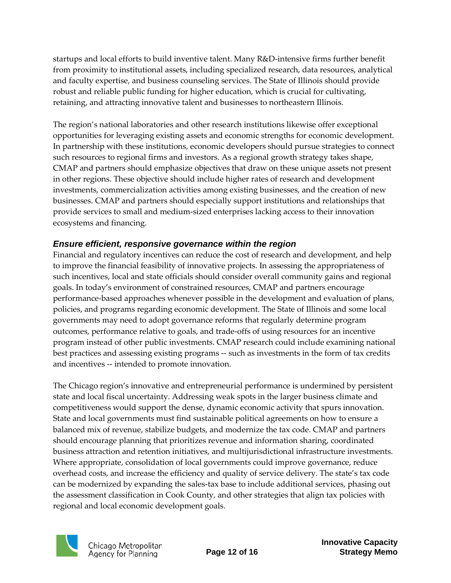startups and local efforts to build inventive talent. Many R&D-intensive firms further benefit from proximity to institutional assets, including specialized research, data resources, analytical and faculty expertise, and business counseling services. The State of Illinois should provide robust and reliable public funding for higher education, which is crucial for cultivating, retaining, and attracting innovative talent and businesses to northeastern Illinois.

The region's national laboratories and other research institutions likewise offer exceptional opportunities for leveraging existing assets and economic strengths for economic development. In partnership with these institutions, economic developers should pursue strategies to connect such resources to regional firms and investors. As a regional growth strategy takes shape, CMAP and partners should emphasize objectives that draw on these unique assets not present in other regions. These objective should include higher rates of research and development investments, commercialization activities among existing businesses, and the creation of new businesses. CMAP and partners should especially support institutions and relationships that provide services to small and medium-sized enterprises lacking access to their innovation ecosystems and financing.

#### <span id="page-11-0"></span>*Ensure efficient, responsive governance within the region*

Financial and regulatory incentives can reduce the cost of research and development, and help to improve the financial feasibility of innovative projects. In assessing the appropriateness of such incentives, local and state officials should consider overall community gains and regional goals. In today's environment of constrained resources, CMAP and partners encourage performance-based approaches whenever possible in the development and evaluation of plans, policies, and programs regarding economic development. The State of Illinois and some local governments may need to adopt governance reforms that regularly determine program outcomes, performance relative to goals, and trade-offs of using resources for an incentive program instead of other public investments. CMAP research could include examining national best practices and assessing existing programs -- such as investments in the form of tax credits and incentives -- intended to promote innovation.

The Chicago region's innovative and entrepreneurial performance is undermined by persistent state and local fiscal uncertainty. Addressing weak spots in the larger business climate and competitiveness would support the dense, dynamic economic activity that spurs innovation. State and local governments must find sustainable political agreements on how to ensure a balanced mix of revenue, stabilize budgets, and modernize the tax code. CMAP and partners should encourage planning that prioritizes revenue and information sharing, coordinated business attraction and retention initiatives, and multijurisdictional infrastructure investments. Where appropriate, consolidation of local governments could improve governance, reduce overhead costs, and increase the efficiency and quality of service delivery. The state's tax code can be modernized by expanding the sales-tax base to include additional services, phasing out the assessment classification in Cook County, and other strategies that align tax policies with regional and local economic development goals.

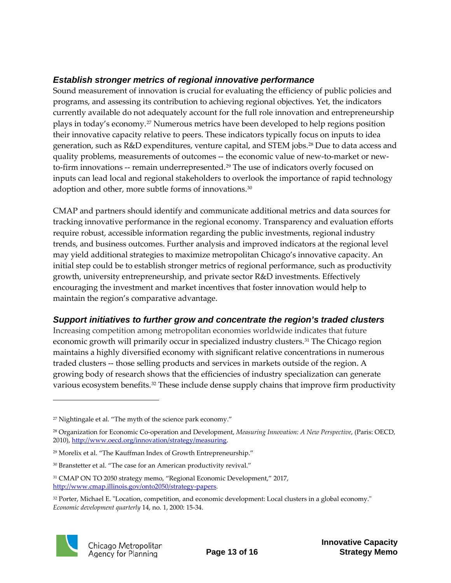#### <span id="page-12-0"></span>*Establish stronger metrics of regional innovative performance*

Sound measurement of innovation is crucial for evaluating the efficiency of public policies and programs, and assessing its contribution to achieving regional objectives. Yet, the indicators currently available do not adequately account for the full role innovation and entrepreneurship plays in today's economy.[27](#page-12-2) Numerous metrics have been developed to help regions position their innovative capacity relative to peers. These indicators typically focus on inputs to idea generation, such as R&D expenditures, venture capital, and STEM jobs.[28](#page-12-3) Due to data access and quality problems, measurements of outcomes -- the economic value of new-to-market or new-to-firm innovations -- remain underrepresented.<sup>[29](#page-12-4)</sup> The use of indicators overly focused on inputs can lead local and regional stakeholders to overlook the importance of rapid technology adoption and other, more subtle forms of innovations.<sup>[30](#page-12-5)</sup>

CMAP and partners should identify and communicate additional metrics and data sources for tracking innovative performance in the regional economy. Transparency and evaluation efforts require robust, accessible information regarding the public investments, regional industry trends, and business outcomes. Further analysis and improved indicators at the regional level may yield additional strategies to maximize metropolitan Chicago's innovative capacity. An initial step could be to establish stronger metrics of regional performance, such as productivity growth, university entrepreneurship, and private sector R&D investments. Effectively encouraging the investment and market incentives that foster innovation would help to maintain the region's comparative advantage.

#### <span id="page-12-1"></span>*Support initiatives to further grow and concentrate the region's traded clusters*

Increasing competition among metropolitan economies worldwide indicates that future economic growth will primarily occur in specialized industry clusters.[31](#page-12-6) The Chicago region maintains a highly diversified economy with significant relative concentrations in numerous traded clusters -- those selling products and services in markets outside of the region. A growing body of research shows that the efficiencies of industry specialization can generate various ecosystem benefits.[32](#page-12-7) These include dense supply chains that improve firm productivity

<span id="page-12-7"></span><sup>&</sup>lt;sup>32</sup> Porter, Michael E. "Location, competition, and economic development: Local clusters in a global economy." *Economic development quarterly* 14, no. 1, 2000: 15-34.



<span id="page-12-2"></span><sup>27</sup> Nightingale et al. "The myth of the science park economy."

<span id="page-12-3"></span><sup>28</sup> Organization for Economic Co-operation and Development, *Measuring Innovation: A New Perspective*, (Paris: OECD, 2010)[, http://www.oecd.org/innovation/strategy/measuring.](http://www.oecd.org/innovation/strategy/measuring)

<span id="page-12-4"></span><sup>&</sup>lt;sup>29</sup> Morelix et al. "The Kauffman Index of Growth Entrepreneurship."

<span id="page-12-5"></span><sup>&</sup>lt;sup>30</sup> Branstetter et al. "The case for an American productivity revival."

<span id="page-12-6"></span><sup>31</sup> CMAP ON TO 2050 strategy memo, "Regional Economic Development," 2017, [http://www.cmap.illinois.gov/onto2050/strategy-papers.](http://www.cmap.illinois.gov/onto2050/strategy-papers)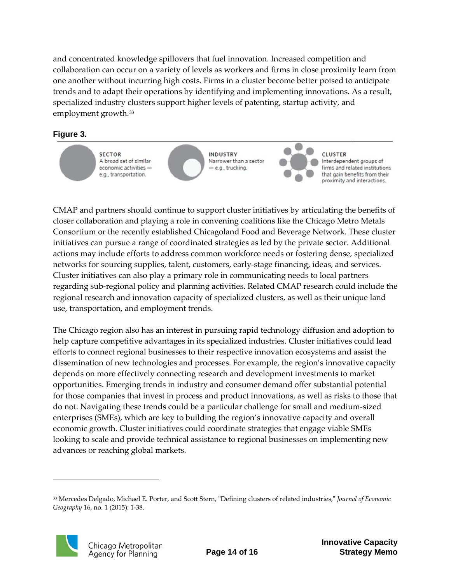and concentrated knowledge spillovers that fuel innovation. Increased competition and collaboration can occur on a variety of levels as workers and firms in close proximity learn from one another without incurring high costs. Firms in a cluster become better poised to anticipate trends and to adapt their operations by identifying and implementing innovations. As a result, specialized industry clusters support higher levels of patenting, startup activity, and employment growth.[33](#page-13-0)

#### **Figure 3.**



**INDUSTRY** Narrower than a sector - e.g., trucking.



**CLUSTER** Interdependent groups of firms and related institutions that gain benefits from their proximity and interactions.

CMAP and partners should continue to support cluster initiatives by articulating the benefits of closer collaboration and playing a role in convening coalitions like the Chicago Metro Metals Consortium or the recently established Chicagoland Food and Beverage Network. These cluster initiatives can pursue a range of coordinated strategies as led by the private sector. Additional actions may include efforts to address common workforce needs or fostering dense, specialized networks for sourcing supplies, talent, customers, early-stage financing, ideas, and services. Cluster initiatives can also play a primary role in communicating needs to local partners regarding sub-regional policy and planning activities. Related CMAP research could include the regional research and innovation capacity of specialized clusters, as well as their unique land use, transportation, and employment trends.

The Chicago region also has an interest in pursuing rapid technology diffusion and adoption to help capture competitive advantages in its specialized industries. Cluster initiatives could lead efforts to connect regional businesses to their respective innovation ecosystems and assist the dissemination of new technologies and processes. For example, the region's innovative capacity depends on more effectively connecting research and development investments to market opportunities. Emerging trends in industry and consumer demand offer substantial potential for those companies that invest in process and product innovations, as well as risks to those that do not. Navigating these trends could be a particular challenge for small and medium-sized enterprises (SMEs), which are key to building the region's innovative capacity and overall economic growth. Cluster initiatives could coordinate strategies that engage viable SMEs looking to scale and provide technical assistance to regional businesses on implementing new advances or reaching global markets.

<span id="page-13-0"></span><sup>33</sup> Mercedes Delgado, Michael E. Porter, and Scott Stern, "Defining clusters of related industries," *Journal of Economic Geography* 16, no. 1 (2015): 1-38.

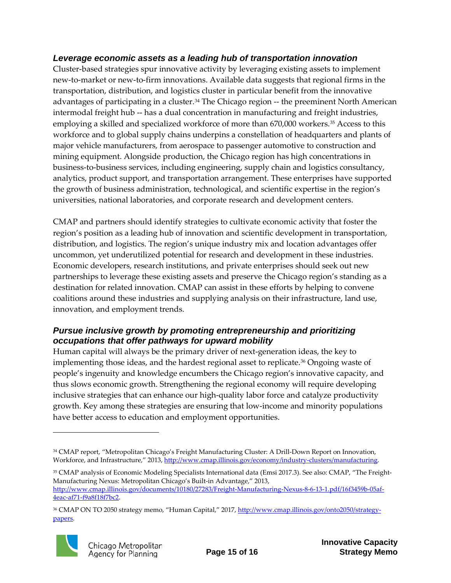#### <span id="page-14-0"></span>*Leverage economic assets as a leading hub of transportation innovation*

Cluster-based strategies spur innovative activity by leveraging existing assets to implement new-to-market or new-to-firm innovations. Available data suggests that regional firms in the transportation, distribution, and logistics cluster in particular benefit from the innovative advantages of participating in a cluster.<sup>[34](#page-14-2)</sup> The Chicago region -- the preeminent North American intermodal freight hub -- has a dual concentration in manufacturing and freight industries, employing a skilled and specialized workforce of more than 670,000 workers.<sup>[35](#page-14-3)</sup> Access to this workforce and to global supply chains underpins a constellation of headquarters and plants of major vehicle manufacturers, from aerospace to passenger automotive to construction and mining equipment. Alongside production, the Chicago region has high concentrations in business-to-business services, including engineering, supply chain and logistics consultancy, analytics, product support, and transportation arrangement. These enterprises have supported the growth of business administration, technological, and scientific expertise in the region's universities, national laboratories, and corporate research and development centers.

CMAP and partners should identify strategies to cultivate economic activity that foster the region's position as a leading hub of innovation and scientific development in transportation, distribution, and logistics. The region's unique industry mix and location advantages offer uncommon, yet underutilized potential for research and development in these industries. Economic developers, research institutions, and private enterprises should seek out new partnerships to leverage these existing assets and preserve the Chicago region's standing as a destination for related innovation. CMAP can assist in these efforts by helping to convene coalitions around these industries and supplying analysis on their infrastructure, land use, innovation, and employment trends.

#### <span id="page-14-1"></span>*Pursue inclusive growth by promoting entrepreneurship and prioritizing occupations that offer pathways for upward mobility*

Human capital will always be the primary driver of next-generation ideas, the key to implementing those ideas, and the hardest regional asset to replicate.<sup>[36](#page-14-4)</sup> Ongoing waste of people's ingenuity and knowledge encumbers the Chicago region's innovative capacity, and thus slows economic growth. Strengthening the regional economy will require developing inclusive strategies that can enhance our high-quality labor force and catalyze productivity growth. Key among these strategies are ensuring that low-income and minority populations have better access to education and employment opportunities.

<span id="page-14-4"></span><sup>&</sup>lt;sup>36</sup> CMAP ON TO 2050 strategy memo, "Human Capital," 2017, [http://www.cmap.illinois.gov/onto2050/strategy](http://www.cmap.illinois.gov/onto2050/strategy-papers)[papers.](http://www.cmap.illinois.gov/onto2050/strategy-papers)



<span id="page-14-2"></span><sup>34</sup> CMAP report, "Metropolitan Chicago's Freight Manufacturing Cluster: A Drill-Down Report on Innovation, Workforce, and Infrastructure," 2013, [http://www.cmap.illinois.gov/economy/industry-clusters/manufacturing.](http://www.cmap.illinois.gov/economy/industry-clusters/manufacturing)

<span id="page-14-3"></span><sup>35</sup> CMAP analysis of Economic Modeling Specialists International data (Emsi 2017.3). See also: CMAP, "The Freight-Manufacturing Nexus: Metropolitan Chicago's Built-in Advantage," 2013, [http://www.cmap.illinois.gov/documents/10180/27283/Freight-Manufacturing-Nexus-8-6-13-1.pdf/16f3459b-05af-](http://www.cmap.illinois.gov/documents/10180/27283/Freight-Manufacturing-Nexus-8-6-13-1.pdf/16f3459b-05af-4eac-af71-f9a8f18f7bc2)[4eac-af71-f9a8f18f7bc2.](http://www.cmap.illinois.gov/documents/10180/27283/Freight-Manufacturing-Nexus-8-6-13-1.pdf/16f3459b-05af-4eac-af71-f9a8f18f7bc2)